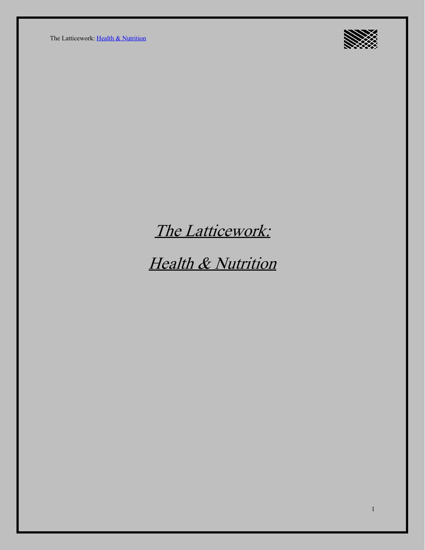The Latticework: [Health & Nutrition](https://ltcwrk.com/health-and-nutrition/)



## The Latticework:

# Health & Nutrition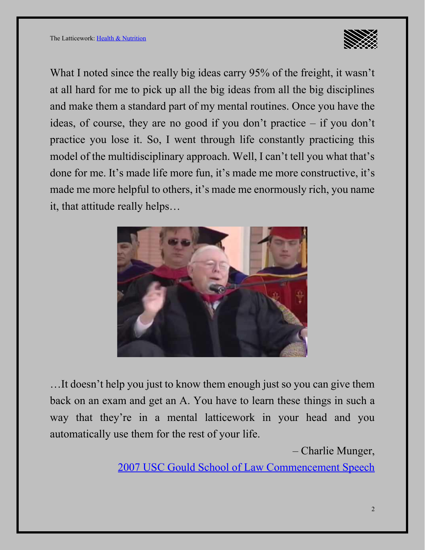

What I noted since the really big ideas carry 95% of the freight, it wasn't at all hard for me to pick up all the big ideas from all the big disciplines and make them a standard part of my mental routines. Once you have the ideas, of course, they are no good if you don't practice – if you don't practice you lose it. So, I went through life constantly practicing this model of the multidisciplinary approach. Well, I can't tell you what that's done for me. It's made life more fun, it's made me more constructive, it's made me more helpful to others, it's made me enormously rich, you name it, that attitude really helps…



…It doesn't help you just to know them enough just so you can give them back on an exam and get an A. You have to learn these things in such a way that they're in a mental latticework in your head and you automatically use them for the rest of your life.

– Charlie Munger,

[2007 USC Gould School of Law Commencement Speech](https://www.youtube.com/watch?v=5U0TE4oqj24)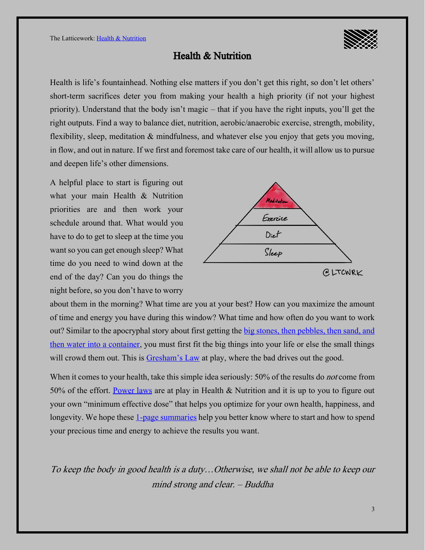

#### Health & Nutrition

Health is life's fountainhead. Nothing else matters if you don't get this right, so don't let others' short-term sacrifices deter you from making your health a high priority (if not your highest priority). Understand that the body isn't magic – that if you have the right inputs, you'll get the right outputs. Find a way to balance diet, nutrition, aerobic/anaerobic exercise, strength, mobility, flexibility, sleep, meditation & mindfulness, and whatever else you enjoy that gets you moving, in flow, and out in nature. If we first and foremost take care of our health, it will allow us to pursue and deepen life's other dimensions.

A helpful place to start is figuring out what your main Health & Nutrition priorities are and then work your schedule around that. What would you have to do to get to sleep at the time you want so you can get enough sleep? What time do you need to wind down at the end of the day? Can you do things the night before, so you don't have to worry



about them in the morning? What time are you at your best? How can you maximize the amount of time and energy you have during this window? What time and how often do you want to work out? Similar to the apocryphal story about first getting the big stones, then pebbles, then sand, and [then water into a container,](https://www.youtube.com/watch?v=v5ZvL4as2y0) you must first fit the big things into your life or else the small things will crowd them out. This is [Gresham's Law](https://ltcwrk.com/economics/supply-and-demand/) at play, where the bad drives out the good.

When it comes to your health, take this simple idea seriously: 50% of the results do *not* come from 50% of the effort. [Power laws](https://ltcwrk.com/mathematics/power-laws/) are at play in Health & Nutrition and it is up to you to figure out your own "minimum effective dose" that helps you optimize for your own health, happiness, and longevity. We hope these [1-page summaries](https://ltcwrk.com/1-page-summaries) help you better know where to start and how to spend your precious time and energy to achieve the results you want.

To keep the body in good health is a duty…Otherwise, we shall not be able to keep our mind strong and clear. – Buddha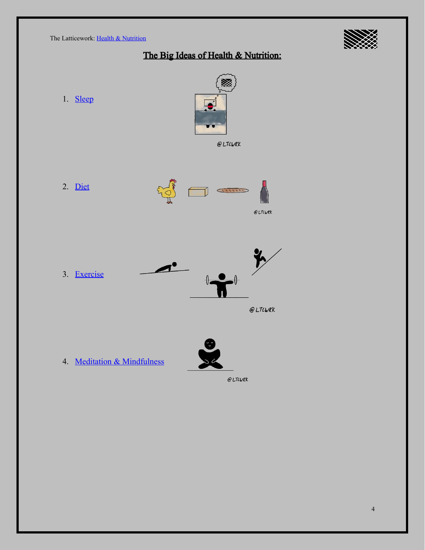

## The Big Ideas of Health & Nutrition:

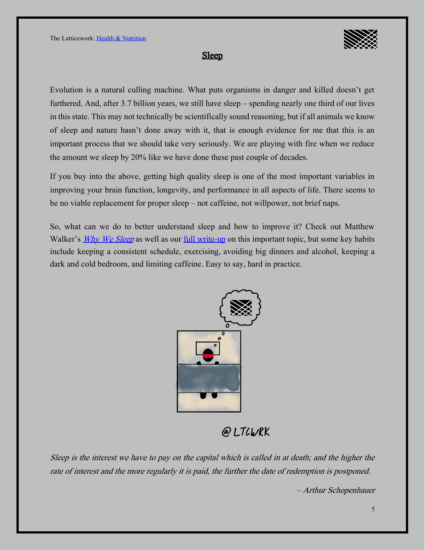

#### Sleep

Evolution is a natural culling machine. What puts organisms in danger and killed doesn't get furthered. And, after 3.7 billion years, we still have sleep – spending nearly one third of our lives in this state. This may not technically be scientifically sound reasoning, but if all animals we know of sleep and nature hasn't done away with it, that is enough evidence for me that this is an important process that we should take very seriously. We are playing with fire when we reduce the amount we sleep by 20% like we have done these past couple of decades.

If you buy into the above, getting high quality sleep is one of the most important variables in improving your brain function, longevity, and performance in all aspects of life. There seems to be no viable replacement for proper sleep – not caffeine, not will power, not brief naps.

So, what can we do to better understand sleep and how to improve it? Check out Matthew Walker's *[Why We Sleep](https://blas.com/why-we-sleep/)* as well as our <u>full write-up</u> on this important topic, but some key habits include keeping a consistent schedule, exercising, avoiding big dinners and alcohol, keeping a dark and cold bedroom, and limiting caffeine. Easy to say, hard in practice.



@LTCWRK

Sleep is the interest we have to pay on the capital which is called in at death; and the higher the rate of interest and the more regularly it is paid, the further the date of redemption is postponed.

Arthur Schopenhauer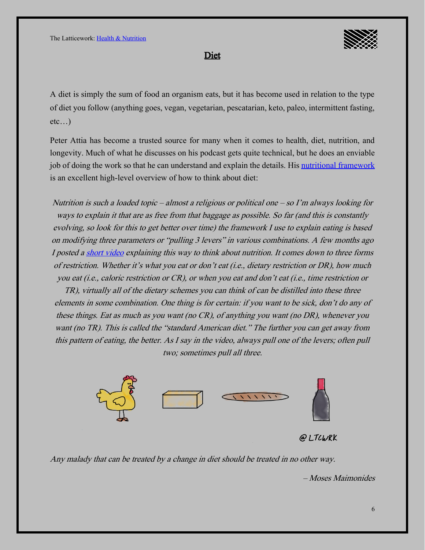

Diet

A diet is simply the sum of food an organism eats, but it has become used in relation to the type of diet you follow (anything goes, vegan, vegetarian, pescatarian, keto, paleo, intermittent fasting, etc…)

Peter Attia has become a trusted source for many when it comes to health, diet, nutrition, and longevity. Much of what he discusses on his podcast gets quite technical, but he does an enviable job of doing the work so that he can understand and explain the details. His [nutritional framework](https://peterattiamd.com/my-nutritional-framework/) is an excellent high-level overview of how to think about diet:

Nutrition is such a loaded topic – almost a religious or political one – so I'm always looking for ways to explain it that are as free from that baggage as possible. So far (and this is constantly evolving, so look for this to get better over time) the framework I use to explain eating is based on modifying three parameters or "pulling 3 levers" in various combinations. A few months ago I posted [a short video](https://www.instagram.com/p/B37oAhCAhLr/) explaining this way to think about nutrition. It comes down to three forms of restriction. Whether it's what you eat or don't eat (i.e., dietary restriction or DR), how much you eat (i.e., caloric restriction or CR), or when you eat and don't eat (i.e., time restriction or

TR), virtually all of the dietary schemes you can think of can be distilled into these three elements in some combination. One thing is for certain: if you want to be sick, don't do any of these things. Eat as much as you want (no CR), of anything you want (no DR), whenever you want (no TR). This is called the "standard American diet." The further you can get away from this pattern of eating, the better. As I say in the video, always pull one of the levers; often pull two; sometimes pull all three.





Any malady that can be treated by a change in diet should be treated in no other way.

Moses Maimonides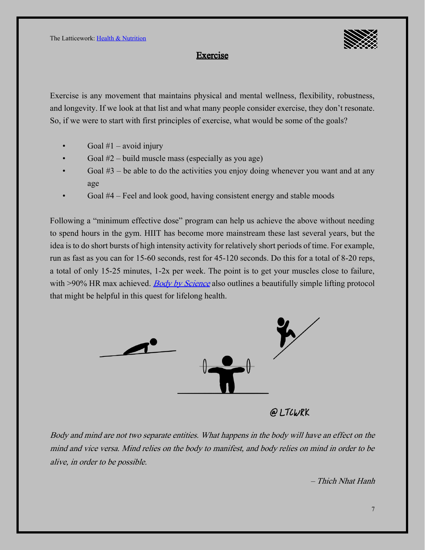

#### Exercise

Exercise is any movement that maintains physical and mental wellness, flexibility, robustness, and longevity. If we look at that list and what many people consider exercise, they don't resonate. So, if we were to start with first principles of exercise, what would be some of the goals?

- Goal  $#1$  avoid injury
- Goal  $#2$  build muscle mass (especially as you age)
- Goal  $#3$  be able to do the activities you enjoy doing whenever you want and at any age
- Goal #4 –Feel and look good, having consistent energy and stable moods

Following a "minimum effective dose" program can help us achieve the above without needing to spend hours in the gym. HIIT has become more mainstream these last several years, but the idea is to do short bursts of high intensity activity for relatively short periods of time. For example, run as fast as you can for 15-60 seconds, rest for 45-120 seconds. Do this for a total of 8-20 reps, a total of only 15-25 minutes, 1-2x per week. The point is to get your muscles close to failure, with >90% HR max achieved. [Body by Science](https://blas.com/body-by-science/) also outlines a beautifully simple lifting protocol that might be helpful in this quest for lifelong health.



@LTCWRK

Body and mind are not two separate entities. What happens in the body will have an effect on the mind and vice versa. Mind relies on the body to manifest, and body relies on mind in order to be alive, in order to be possible.

– Thich Nhat Hanh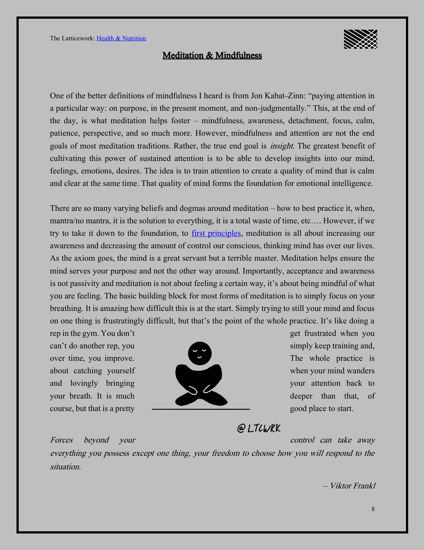#### Meditation & Mindfulness

One of the better definitions of mindfulness I heard is from Jon Kabat-Zinn: "paying attention in a particular way: on purpose, in the present moment, and non-judgmentally." This, at the end of the day, is what meditation helps foster – mindfulness, awareness, detachment, focus, calm, patience, perspective, and so much more. However, mindfulness and attention are not the end goals of most meditation traditions. Rather, the true end goal is *insight*. The greatest benefit of cultivating this power of sustained attention is to be able to develop insights into our mind, feelings, emotions, desires. The idea is to train attention to create a quality of mind that is calm and clear at the same time. That quality of mind forms the foundation for emotional intelligence.

There are so many varying beliefs and dogmas around meditation  $-$  how to best practice it, when, mantra/no mantra, it is the solution to everything, it is a total waste of time, etc…. However, if we try to take it down to the foundation, to [first principles,](https://ltcwrk.com/first-principles-thinking) meditation is all about increasing our awareness and decreasing the amount of control our conscious, thinking mind has over our lives. As the axiom goes, the mind is a great servant but a terrible master. Meditation helps ensure the mind serves your purpose and not the other way around. Importantly, acceptance and awareness is not passivity and meditation is not about feeling a certain way, it's about being mindful of what you are feeling. The basic building block for most forms of meditation is to simply focus on your breathing. It is amazing how difficult this is at the start. Simply trying to still your mind and focus on one thing is frustratingly difficult, but that's the point of the whole practice. It's like doing a

rep in the gym. You don't get frustrated when you get frustrated when you



### @LTCWRK

Forces beyond your control can take away

everything you possess except one thing, your freedom to choose how you will respond to the situation.

– Viktor Frankl